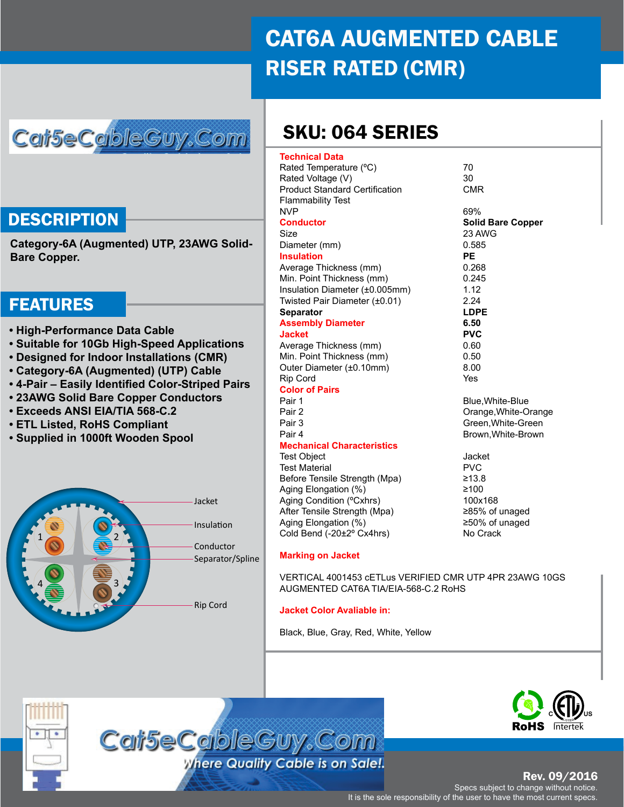# CAT6A AUGMENTED CABLE RISER RATED (CMR)

## Cai5eCableGuy.Com

### **DESCRIPTION**

**Category-6A (Augmented) UTP, 23AWG Solid-Bare Copper.**

### FEATURES

- **High-Performance Data Cable**
- **Suitable for 10Gb High-Speed Applications**
- **Designed for Indoor Installations (CMR)**
- **Category-6A (Augmented) (UTP) Cable**
- **4-Pair Easily Identified Color-Striped Pairs**
- **23AWG Solid Bare Copper Conductors**
- **Exceeds ANSI EIA/TIA 568-C.2**
- **ETL Listed, RoHS Compliant**
- **Supplied in 1000ft Wooden Spool**



## SKU: 064 SERIES

| <b>Technical Data</b>                 |                          |
|---------------------------------------|--------------------------|
| Rated Temperature (°C)                | 70                       |
| Rated Voltage (V)                     | 30                       |
| <b>Product Standard Certification</b> | <b>CMR</b>               |
| <b>Flammability Test</b>              |                          |
| <b>NVP</b>                            | 69%                      |
| <b>Conductor</b>                      | <b>Solid Bare Copper</b> |
| Size                                  | 23 AWG                   |
| Diameter (mm)                         | 0.585                    |
| <b>Insulation</b>                     | РE                       |
| Average Thickness (mm)                | 0.268                    |
| Min. Point Thickness (mm)             | 0.245                    |
| Insulation Diameter (±0.005mm)        | 1.12                     |
| Twisted Pair Diameter (±0.01)         | 2.24                     |
| <b>Separator</b>                      | LDPE                     |
| <b>Assembly Diameter</b>              | 6.50                     |
| <b>Jacket</b>                         | <b>PVC</b>               |
| Average Thickness (mm)                | 0.60                     |
| Min. Point Thickness (mm)             | 0.50                     |
| Outer Diameter (±0.10mm)              | 8.00                     |
| <b>Rip Cord</b>                       | Yes                      |
| <b>Color of Pairs</b>                 |                          |
| Pair 1                                | Blue, White-Blue         |
| Pair 2                                | Orange, White-Orange     |
| Pair 3                                | Green. White-Green       |
| Pair 4                                | Brown, White-Brown       |
| <b>Mechanical Characteristics</b>     |                          |
| <b>Test Object</b>                    | Jacket                   |
| <b>Test Material</b>                  | <b>PVC</b>               |
| Before Tensile Strength (Mpa)         | ≥13.8                    |
| Aging Elongation (%)                  | $\geq 100$               |
| Aging Condition (°Cxhrs)              | 100x168                  |
| After Tensile Strength (Mpa)          | ≥85% of unaged           |
| Aging Elongation (%)                  | ≥50% of unaged           |
| Cold Bend (-20±2° Cx4hrs)             | No Crack                 |
| <b>Marking on Jacket</b>              |                          |

VERTICAL 4001453 cETLus VERIFIED CMR UTP 4PR 23AWG 10GS AUGMENTED CAT6A TIA/EIA-568-C.2 RoHS

#### **Jacket Color Avaliable in:**

Black, Blue, Gray, Red, White, Yellow





Rev. 09/2016

Specs subject to change without notice. It is the sole responsibility of the user to have the most current specs.